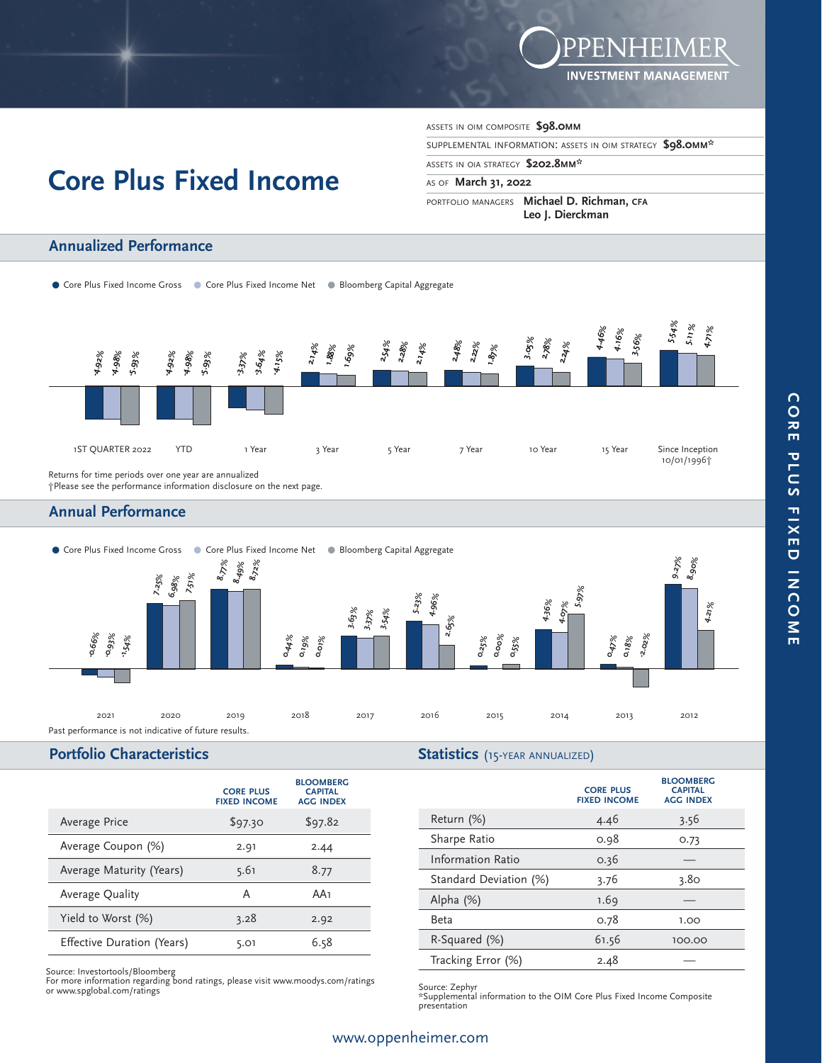

# **Core Plus Fixed Income**

ASSETS IN OIM COMPOSITE **\$98.0MM**

SUPPLEMENTAL INFORMATION: ASSETS IN OIM STRATEGY **\$98.0MM\*** 

#### ASSETS IN OIA STRATEGY **\$202.8MM\***

#### AS OF **March 31, 2022**

PORTFOLIO MANAGERS **Michael D. Richman, CFA Leo J. Dierckman**

## **Annualized Performance**

• Core Plus Fixed Income Gross • Core Plus Fixed Income Net . • Bloomberg Capital Aggregate



†Please see the performance information disclosure on the next page.

### **Annual Performance**



### **Portfolio Characteristics**

#### **Statistics** (15-YEAR ANNUALIZED)

|                            | <b>CORE PLUS</b><br><b>FIXED INCOME</b> | <b>BLOOMBERG</b><br><b>CAPITAL</b><br><b>AGG INDEX</b> |
|----------------------------|-----------------------------------------|--------------------------------------------------------|
| Average Price              | \$97.30                                 | \$97.82                                                |
| Average Coupon (%)         | 2.91                                    | 2.44                                                   |
| Average Maturity (Years)   | 5.61                                    | 8.77                                                   |
| Average Quality            | A                                       | AA1                                                    |
| Yield to Worst (%)         | 3.28                                    | 2.92                                                   |
| Effective Duration (Years) | 5.01                                    | 6.58                                                   |

Source: Investortools/Bloomberg For more information regarding bond ratings, please visit www.moodys.com/ratings or www.spglobal.com/ratings

| <b>CORE PLUS</b><br><b>FIXED INCOME</b> | <b>BLOOMBERG</b><br><b>CAPITAL</b><br><b>AGG INDEX</b> |
|-----------------------------------------|--------------------------------------------------------|
| 4.46                                    | 3.56                                                   |
| 0.98                                    | O.73                                                   |
| 0.36                                    |                                                        |
| 3.76                                    | 3.80                                                   |
| 1.69                                    |                                                        |
| 0.78                                    | 1.00                                                   |
| 61.56                                   | 100.00                                                 |
| 2.48                                    |                                                        |
|                                         |                                                        |

Source: Zephyr \*Supplemental information to the OIM Core Plus Fixed Income Composite presentation